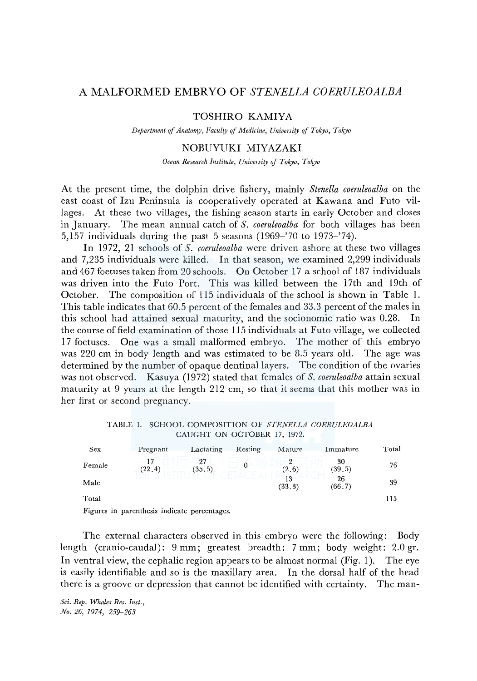# A MALFORMED EMBRYO OF *STENELLA COERULEOALBA*

### TOSHIRO KAMIYA

*Department of Anatomy, Faculf(y* of *Medicine, Universif(y of Tokyo, Tokyo* 

## NOBUYUKI MIYAZAKI

*Ocean Research Institute, University of Tokyo, Tokyo* 

At the present time, the dolphin drive fishery, mainly *Stenella coeruleoalba* on the east coast of lzu Peninsula is cooperatively operated at Kawana and Futo villages. At these two villages, the fishing season starts in early October and closes in January. The mean annual catch of *S. coeruleoalba* for both villages has been 5,157 individuals during the past 5 seasons (1969-'70 to 1973-'74).

In 1972, 21 schools of *S. coeruleoalba* were driven ashore at these two villages and 7,235 individuals were killed. In that season, we examined 2,299 individuals and 467 foetuses taken from 20 schools. On October 17 a school of 187 individuals was driven into the Futo Port. This was killed between the 17th and 19th of October. The composition of 115 individuals of the school is shown in Table 1. This table indicates that 60.5 percent of the females and 33.3 percent of the males in this school had attained sexual maturity, and the socionomic ratio was 0.28. In the course of field examination of those 115 individuals at Futo village, we collected 17 foetuses. One was a small malformed embryo. The mother of this embryo was 220 cm in body length and was estimated to be 8.5 years old. The age was determined by the number of opaque dentinal layers. The condition of the ovaries was not observed. Kasuya (1972) stated that females of *S. coeruleoalba* attain sexual maturity at 9 years at the length 212 cm, so that it seems that this mother was in her first or second pregnancy.

TABLE I. SCHOOL COMPOSITION OF *STENELLA COERULEOALBA*  CAUGHT ON OCTOBER 17, 1972.

| <b>Sex</b> | Pregnant | Lactating    | Resting | Mature           | Immature      | Total |
|------------|----------|--------------|---------|------------------|---------------|-------|
| Female     | (22.4)   | 27<br>(35.5) | 0       | 9<br>(2.6)       | 30<br>(39.5)  | 76    |
| Male       |          |              |         | $-13$<br>(33, 3) | 26<br>(66, 7) | 39    |
| Total      |          |              |         |                  |               | 115   |

Figures in parenthesis indicate percentages.

The external characters observed in this embryo were the following: Body length (cranio-caudal): 9 mm; greatest breadth: 7 mm; body weight: 2.0 gr. In ventral view, the cephalic region appears to be almost normal (Fig. 1). The eye is easily identifiable and so is the maxillary area. In the dorsal half of the head there is a groove or depression that cannot be identified with certainty. The man-

*Sci. Rep. Whales Res. Inst., .No. 26, 1974, 259-263*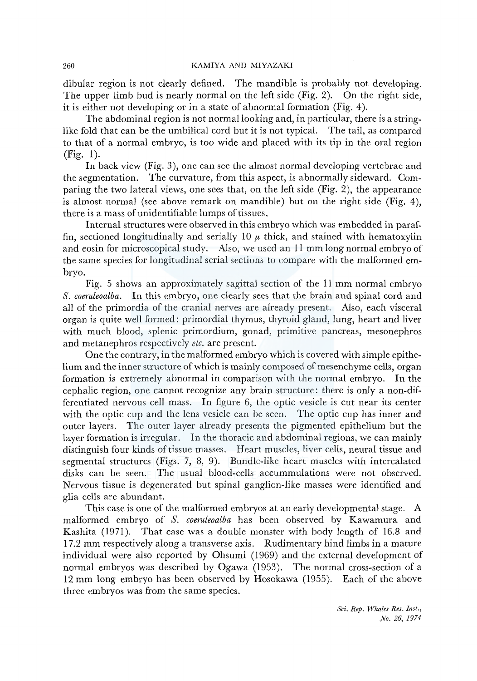#### 260 KAMIYA AND MIYAZAKI

dibular region is not clearly defined. The mandible is probably not developing. The upper limb bud is nearly normal on the left side (Fig. 2). On the right side, it is either not developing or in a state of abnormal formation (Fig. 4).

The abdominal region is not normal looking and, in particular, there is a stringlike fold that can be the umbilical cord but it is not typical. The tail, as compared to that of a normal embryo, is too wide and placed with its tip in the oral region (Fig. 1).

In back view (Fig. 3), one can see the almost normal developing vertebrae and the segmentation. The curvature, from this aspect, is abnormally sideward. Comparing the two lateral views, one sees that, on the left side (Fig. 2), the appearance is almost normal (see above remark on mandible) but on the right side (Fig. 4), there is a mass of unidentifiable lumps of tissues.

Internal structures were observed in this embryo which was embedded in paraffin, sectioned longitudinally and serially 10  $\mu$  thick, and stained with hematoxylin and eosin for microscopical study. Also, we used an 11 mm long normal embryo of the same species for longitudinal serial sections to compare with the malformed embryo.

Fig. 5 shows an approximately sagittal section of the 11 mm normal embryo *S. coeruleoalba.* In this embryo, one clearly sees that the brain and spinal cord and all of the primordia of the cranial nerves are already present. Also, each visceral organ is quite well formed: primordial thymus, thyroid gland, lung, heart and liver with much blood, splenic primordium, gonad, primitive pancreas, mesonephros and metanephros respectively *etc.* are present.

One the contrary, in the malformed embryo which is covered with simple epithelium and the inner structure of which is mainly composed of mesenchyme cells, organ formation is extremely abnormal in comparison with the normal embryo. In the cephalic region, one cannot recognize any brain structure: there is only a non-differentiated nervous cell mass. In figure 6, the optic vesicle is cut near its center with the optic cup and the lens vesicle can be seen. The optic cup has inner and outer layers. The outer layer already presents the pigmented epithelium but the layer formation is irregular. In the thoracic and abdominal regions, we can mainly distinguish four kinds of tissue masses. Heart muscles, liver cells, neural tissue and segmental structures (Figs. 7, 8, 9). Bundle-like heart muscles with intercalated disks can be seen. The usual blood-cells accummulations were not observed. Nervous tissue is degenerated but spinal ganglion-like masses were identified and glia cells are abundant.

This case is one of the malformed embryos at an early developmental stage. A malformed embryo of *S. coeruleoalba* has been observed by Kawamura and Kashita (1971). That case was a double monster with body length of 16.8 and 17.2 mm respectively along a transverse axis. Rudimentary hind limbs in a mature individual were also reported by Ohsumi (1969) and the external development of normal embryos was described by Ogawa (1953). The normal cross-section of a 12 mm long embryo has been observed by Hosokawa (1955). Each of the above three embryos was from the same species.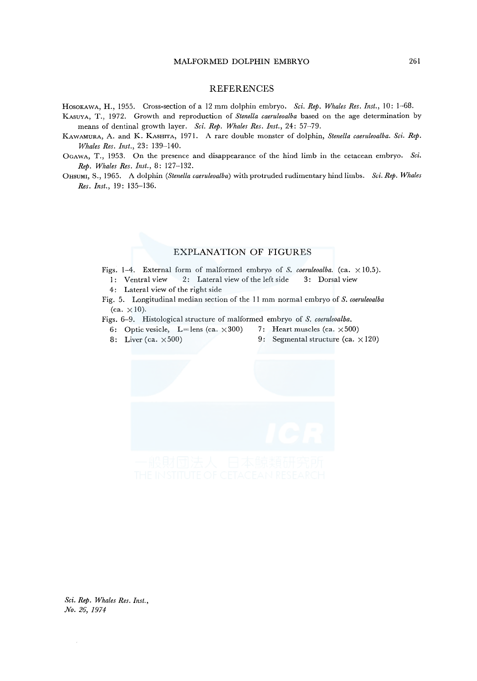#### **REFERENCES**

HosoKAWA, H., 1955. Cross-section of a 12 mm dolphin embryo. *Sci. Rep. Whales Res. Inst.,* 10: 1-68.

- KASUYA, T., 1972. Growth and reproduction of *Stenella caeruleoalba* based on the age determination by means of dentinal growth layer. *Sci. Rep. Whales Res. Inst.,* 24: 57-79.
- KAWAMURA, A. and K. KASHITA, 1971. A rare double monster of dolphin, *Stenella caeruleoalba. Sci. Rep. Whales Res. Inst.,* 23: 139-140.
- OGAWA, T., 1953. On the presence and disappearance of the hind limb in the cetacean embryo. *Sci. Rep. Whales Res. Inst.,* 8: 127-132.
- 0HSUMI, S., 1965. A dolphin *(Stenella caeruleoalba)* with protruded rudimentary hind limbs. *Sci. Rep. Whales Res. Inst.,* 19: 135-136.

### EXPLANATION OF FIGURES

- Figs. 1-4. External form of malformed embryo of *S. coeruleoalba.* (ca.  $\times$  10.5). 1: Ventral view 2: Lateral view of the left side 3: Dorsal view
	- 4: Lateral view of the right side

Fig. 5. Longitudinal median section of the 11 mm normal embryo of *S. coeruleoalba*  (ca.  $\times 10$ ).

Figs. 6-9. Histological structure of malformed embryo of *S. coeruleoalba.* 

- 6: Optic vesicle, L=lens (ca.  $\times$  300) 7: Heart muscles (ca.  $\times$  500)
- 
- 8: Liver (ca.  $\times 500$ ) 9: Segmental structure (ca.  $\times 120$ )
- -

*Sci. Rep. Whales Res. Inst., No. 26, 1974*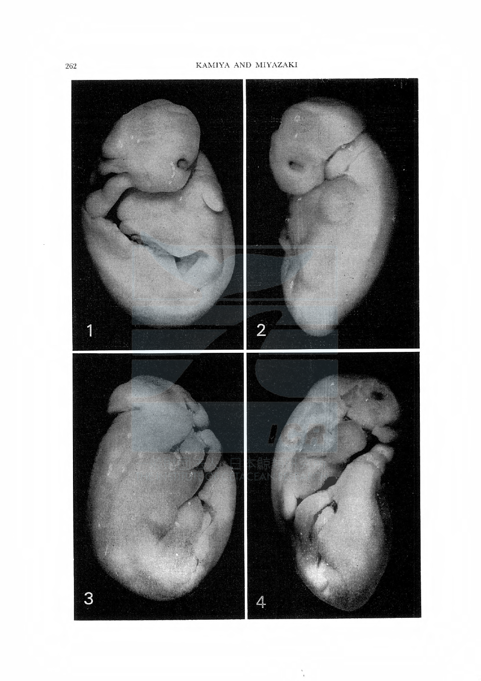